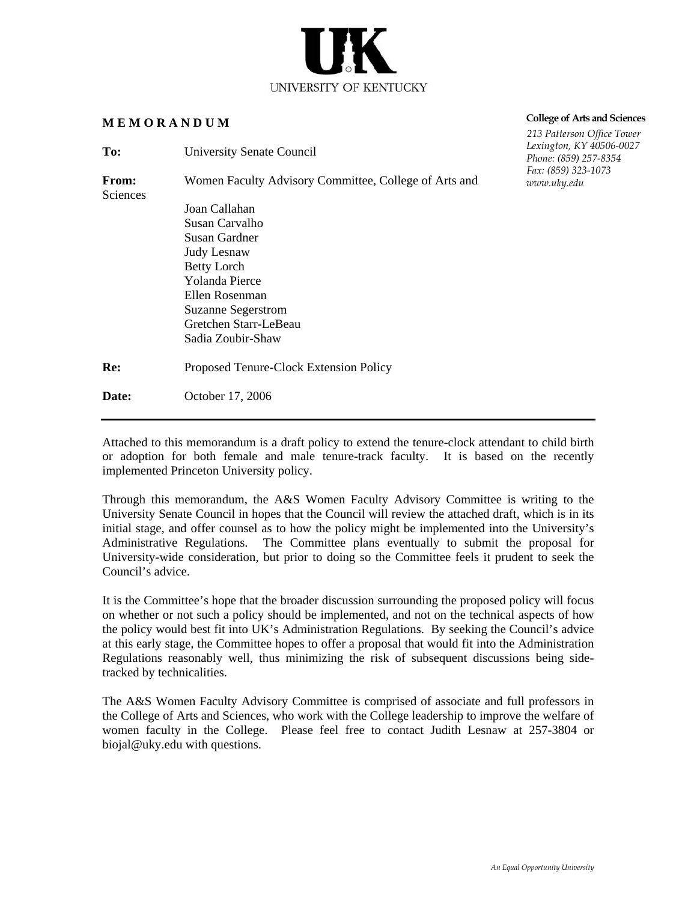

# **M E M O R A N D U M**

| To:                      | University Senate Council                             | Lexington<br>Phone: (8. |
|--------------------------|-------------------------------------------------------|-------------------------|
| <b>From:</b><br>Sciences | Women Faculty Advisory Committee, College of Arts and | Fax: (859)<br>www.uky   |
|                          | Joan Callahan                                         |                         |
|                          | Susan Carvalho                                        |                         |
|                          | Susan Gardner                                         |                         |
|                          | Judy Lesnaw                                           |                         |
|                          | <b>Betty Lorch</b>                                    |                         |
|                          | <b>Yolanda Pierce</b>                                 |                         |
|                          | Ellen Rosenman                                        |                         |
|                          | <b>Suzanne Segerstrom</b>                             |                         |
|                          | Gretchen Starr-LeBeau                                 |                         |
|                          | Sadia Zoubir-Shaw                                     |                         |
| Re:                      | Proposed Tenure-Clock Extension Policy                |                         |
| <b>Date:</b>             | October 17, 2006                                      |                         |
|                          |                                                       |                         |

# **College of Arts and Sciences**

 *213 Patterson Office Tower Lexington, KY 40506-0027 Phone: (859) 257-8354 Fax: (859) 323-1073 www.uky.edu*

Attached to this memorandum is a draft policy to extend the tenure-clock attendant to child birth or adoption for both female and male tenure-track faculty. It is based on the recently implemented Princeton University policy.

Through this memorandum, the A&S Women Faculty Advisory Committee is writing to the University Senate Council in hopes that the Council will review the attached draft, which is in its initial stage, and offer counsel as to how the policy might be implemented into the University's Administrative Regulations. The Committee plans eventually to submit the proposal for University-wide consideration, but prior to doing so the Committee feels it prudent to seek the Council's advice.

It is the Committee's hope that the broader discussion surrounding the proposed policy will focus on whether or not such a policy should be implemented, and not on the technical aspects of how the policy would best fit into UK's Administration Regulations. By seeking the Council's advice at this early stage, the Committee hopes to offer a proposal that would fit into the Administration Regulations reasonably well, thus minimizing the risk of subsequent discussions being sidetracked by technicalities.

The A&S Women Faculty Advisory Committee is comprised of associate and full professors in the College of Arts and Sciences, who work with the College leadership to improve the welfare of women faculty in the College. Please feel free to contact Judith Lesnaw at 257-3804 or biojal@uky.edu with questions.